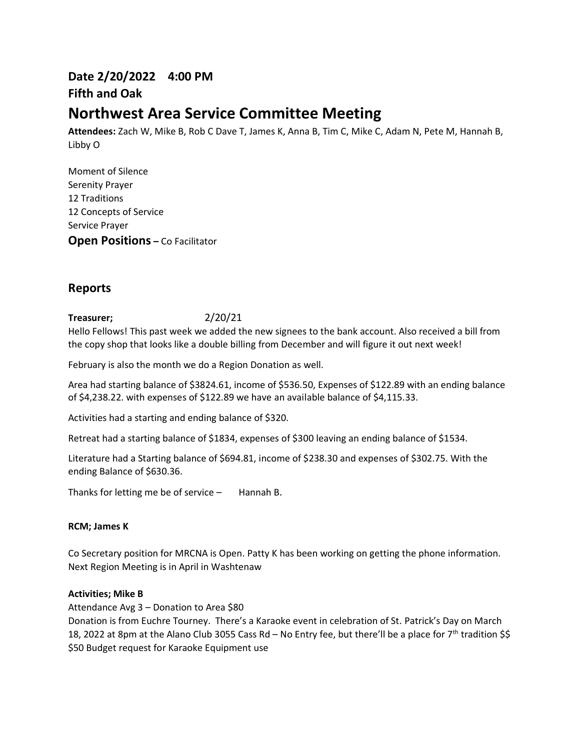# **Date 2/20/2022 4:00 PM Fifth and Oak**

# **Northwest Area Service Committee Meeting**

**Attendees:** Zach W, Mike B, Rob C Dave T, James K, Anna B, Tim C, Mike C, Adam N, Pete M, Hannah B, Libby O

Moment of Silence Serenity Prayer 12 Traditions 12 Concepts of Service Service Prayer **Open Positions –** Co Facilitator

# **Reports**

# **Treasurer;** 2/20/21

Hello Fellows! This past week we added the new signees to the bank account. Also received a bill from the copy shop that looks like a double billing from December and will figure it out next week!

February is also the month we do a Region Donation as well.

Area had starting balance of \$3824.61, income of \$536.50, Expenses of \$122.89 with an ending balance of \$4,238.22. with expenses of \$122.89 we have an available balance of \$4,115.33.

Activities had a starting and ending balance of \$320.

Retreat had a starting balance of \$1834, expenses of \$300 leaving an ending balance of \$1534.

Literature had a Starting balance of \$694.81, income of \$238.30 and expenses of \$302.75. With the ending Balance of \$630.36.

Thanks for letting me be of service  $-$  Hannah B.

## **RCM; James K**

Co Secretary position for MRCNA is Open. Patty K has been working on getting the phone information. Next Region Meeting is in April in Washtenaw

#### **Activities; Mike B**

Attendance Avg 3 – Donation to Area \$80

Donation is from Euchre Tourney. There's a Karaoke event in celebration of St. Patrick's Day on March 18, 2022 at 8pm at the Alano Club 3055 Cass Rd – No Entry fee, but there'll be a place for 7th tradition \$\$ \$50 Budget request for Karaoke Equipment use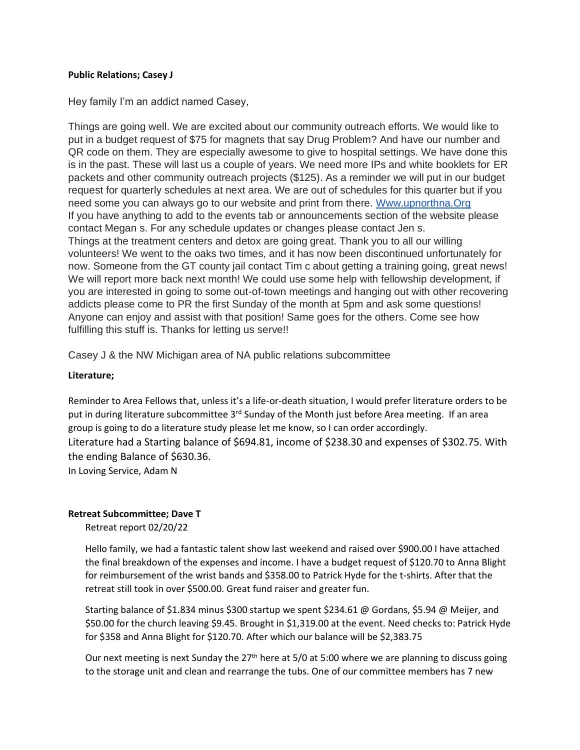### **Public Relations; Casey J**

Hey family I'm an addict named Casey,

Things are going well. We are excited about our community outreach efforts. We would like to put in a budget request of \$75 for magnets that say Drug Problem? And have our number and QR code on them. They are especially awesome to give to hospital settings. We have done this is in the past. These will last us a couple of years. We need more IPs and white booklets for ER packets and other community outreach projects (\$125). As a reminder we will put in our budget request for quarterly schedules at next area. We are out of schedules for this quarter but if you need some you can always go to our website and print from there. Www.upnorthna. Org If you have anything to add to the events tab or announcements section of the website please contact Megan s. For any schedule updates or changes please contact Jen s. Things at the treatment centers and detox are going great. Thank you to all our willing volunteers! We went to the oaks two times, and it has now been discontinued unfortunately for now. Someone from the GT county jail contact Tim c about getting a training going, great news! We will report more back next month! We could use some help with fellowship development, if you are interested in going to some out-of-town meetings and hanging out with other recovering addicts please come to PR the first Sunday of the month at 5pm and ask some questions! Anyone can enjoy and assist with that position! Same goes for the others. Come see how fulfilling this stuff is. Thanks for letting us serve!!

Casey J & the NW Michigan area of NA public relations subcommittee

## **Literature;**

Reminder to Area Fellows that, unless it's a life-or-death situation, I would prefer literature orders to be put in during literature subcommittee 3<sup>rd</sup> Sunday of the Month just before Area meeting. If an area group is going to do a literature study please let me know, so I can order accordingly. Literature had a Starting balance of \$694.81, income of \$238.30 and expenses of \$302.75. With the ending Balance of \$630.36.

In Loving Service, Adam N

## **Retreat Subcommittee; Dave T**

Retreat report 02/20/22

Hello family, we had a fantastic talent show last weekend and raised over \$900.00 I have attached the final breakdown of the expenses and income. I have a budget request of \$120.70 to Anna Blight for reimbursement of the wrist bands and \$358.00 to Patrick Hyde for the t-shirts. After that the retreat still took in over \$500.00. Great fund raiser and greater fun.

Starting balance of \$1.834 minus \$300 startup we spent \$234.61 @ Gordans, \$5.94 @ Meijer, and \$50.00 for the church leaving \$9.45. Brought in \$1,319.00 at the event. Need checks to: Patrick Hyde for \$358 and Anna Blight for \$120.70. After which our balance will be \$2,383.75

Our next meeting is next Sunday the 27<sup>th</sup> here at 5/0 at 5:00 where we are planning to discuss going to the storage unit and clean and rearrange the tubs. One of our committee members has 7 new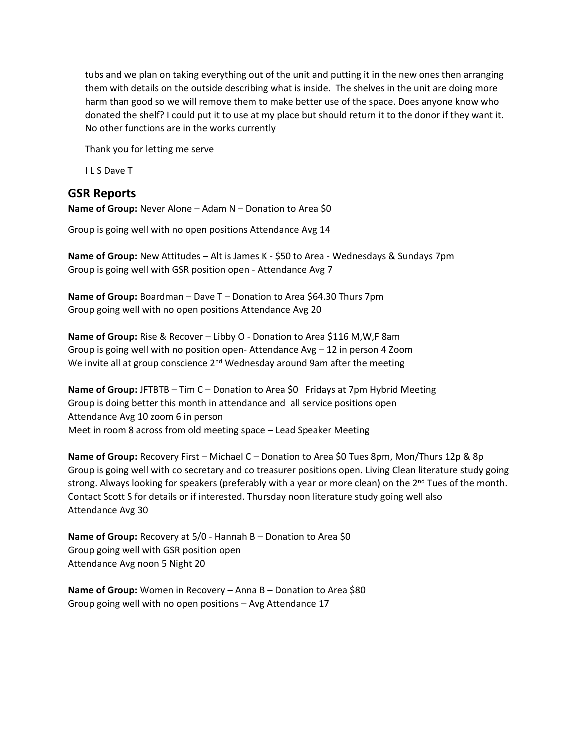tubs and we plan on taking everything out of the unit and putting it in the new ones then arranging them with details on the outside describing what is inside. The shelves in the unit are doing more harm than good so we will remove them to make better use of the space. Does anyone know who donated the shelf? I could put it to use at my place but should return it to the donor if they want it. No other functions are in the works currently

Thank you for letting me serve

I L S Dave T

# **GSR Reports**

**Name of Group:** Never Alone – Adam N – Donation to Area \$0

Group is going well with no open positions Attendance Avg 14

**Name of Group:** New Attitudes – Alt is James K - \$50 to Area - Wednesdays & Sundays 7pm Group is going well with GSR position open - Attendance Avg 7

**Name of Group:** Boardman – Dave T – Donation to Area \$64.30 Thurs 7pm Group going well with no open positions Attendance Avg 20

**Name of Group:** Rise & Recover – Libby O - Donation to Area \$116 M,W,F 8am Group is going well with no position open- Attendance Avg – 12 in person 4 Zoom We invite all at group conscience  $2<sup>nd</sup>$  Wednesday around 9am after the meeting

**Name of Group:** JFTBTB – Tim C – Donation to Area \$0 Fridays at 7pm Hybrid Meeting Group is doing better this month in attendance and all service positions open Attendance Avg 10 zoom 6 in person Meet in room 8 across from old meeting space – Lead Speaker Meeting

**Name of Group:** Recovery First – Michael C – Donation to Area \$0 Tues 8pm, Mon/Thurs 12p & 8p Group is going well with co secretary and co treasurer positions open. Living Clean literature study going strong. Always looking for speakers (preferably with a year or more clean) on the 2<sup>nd</sup> Tues of the month. Contact Scott S for details or if interested. Thursday noon literature study going well also Attendance Avg 30

**Name of Group:** Recovery at 5/0 - Hannah B – Donation to Area \$0 Group going well with GSR position open Attendance Avg noon 5 Night 20

**Name of Group:** Women in Recovery – Anna B – Donation to Area \$80 Group going well with no open positions – Avg Attendance 17